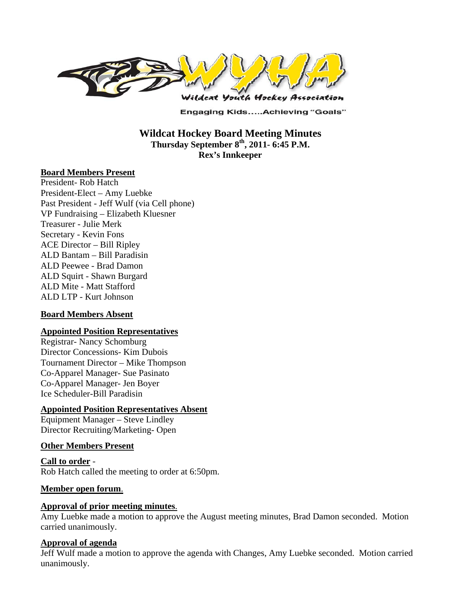

**Engaging Kids.....Achieving "Goals"** 

### **Wildcat Hockey Board Meeting Minutes Thursday September 8th, 2011- 6:45 P.M. Rex's Innkeeper**

#### **Board Members Present**

President- Rob Hatch President-Elect – Amy Luebke Past President - Jeff Wulf (via Cell phone) VP Fundraising – Elizabeth Kluesner Treasurer - Julie Merk Secretary - Kevin Fons ACE Director – Bill Ripley ALD Bantam – Bill Paradisin ALD Peewee - Brad Damon ALD Squirt - Shawn Burgard ALD Mite - Matt Stafford ALD LTP - Kurt Johnson

#### **Board Members Absent**

#### **Appointed Position Representatives**

Registrar- Nancy Schomburg Director Concessions- Kim Dubois Tournament Director – Mike Thompson Co-Apparel Manager- Sue Pasinato Co-Apparel Manager- Jen Boyer Ice Scheduler-Bill Paradisin

#### **Appointed Position Representatives Absent**

Equipment Manager – Steve Lindley Director Recruiting/Marketing- Open

#### **Other Members Present**

**Call to order** - Rob Hatch called the meeting to order at 6:50pm.

#### **Member open forum**.

#### **Approval of prior meeting minutes**.

Amy Luebke made a motion to approve the August meeting minutes, Brad Damon seconded. Motion carried unanimously.

#### **Approval of agenda**

Jeff Wulf made a motion to approve the agenda with Changes, Amy Luebke seconded. Motion carried unanimously.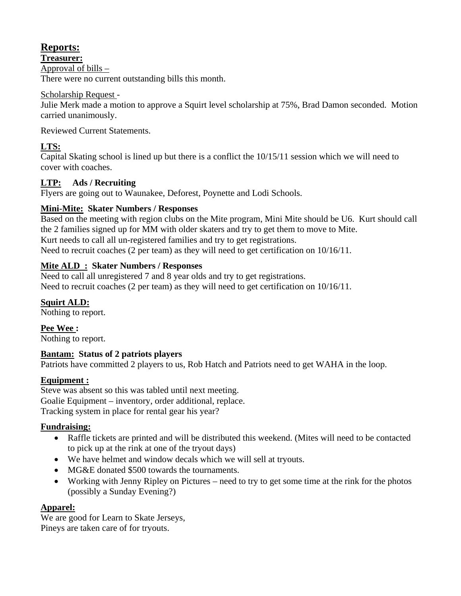# **Reports:**

**Treasurer:** 

Approval of bills –

There were no current outstanding bills this month.

### Scholarship Request -

Julie Merk made a motion to approve a Squirt level scholarship at 75%, Brad Damon seconded. Motion carried unanimously.

Reviewed Current Statements.

## **LTS:**

Capital Skating school is lined up but there is a conflict the 10/15/11 session which we will need to cover with coaches.

## **LTP: Ads / Recruiting**

Flyers are going out to Waunakee, Deforest, Poynette and Lodi Schools.

### **Mini-Mite: Skater Numbers / Responses**

Based on the meeting with region clubs on the Mite program, Mini Mite should be U6. Kurt should call the 2 families signed up for MM with older skaters and try to get them to move to Mite. Kurt needs to call all un-registered families and try to get registrations. Need to recruit coaches (2 per team) as they will need to get certification on 10/16/11.

## **Mite ALD : Skater Numbers / Responses**

Need to call all unregistered 7 and 8 year olds and try to get registrations. Need to recruit coaches (2 per team) as they will need to get certification on 10/16/11.

# **Squirt ALD:**

Nothing to report.

**Pee Wee :**  Nothing to report.

### **Bantam: Status of 2 patriots players**

Patriots have committed 2 players to us, Rob Hatch and Patriots need to get WAHA in the loop.

### **Equipment :**

Steve was absent so this was tabled until next meeting. Goalie Equipment – inventory, order additional, replace. Tracking system in place for rental gear his year?

### **Fundraising:**

- Raffle tickets are printed and will be distributed this weekend. (Mites will need to be contacted to pick up at the rink at one of the tryout days)
- We have helmet and window decals which we will sell at tryouts.
- MG&E donated \$500 towards the tournaments.
- Working with Jenny Ripley on Pictures need to try to get some time at the rink for the photos (possibly a Sunday Evening?)

### **Apparel:**

We are good for Learn to Skate Jerseys, Pineys are taken care of for tryouts.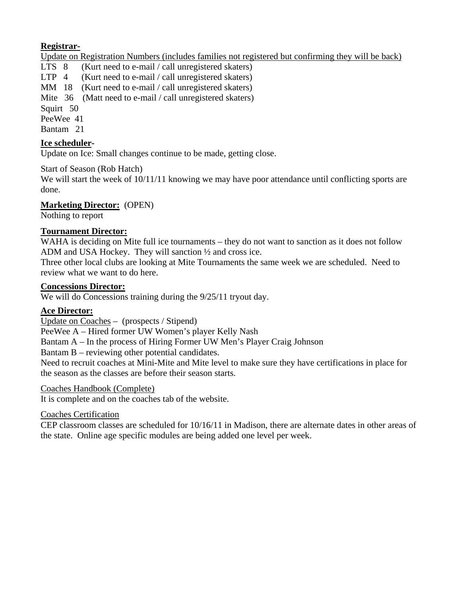### **Registrar-**

Update on Registration Numbers (includes families not registered but confirming they will be back)

LTS 8 (Kurt need to e-mail / call unregistered skaters) LTP 4 (Kurt need to e-mail / call unregistered skaters) MM 18 (Kurt need to e-mail / call unregistered skaters) Mite 36 (Matt need to e-mail / call unregistered skaters) Squirt 50 PeeWee 41 Bantam 21

### **Ice scheduler-**

Update on Ice: Small changes continue to be made, getting close.

#### Start of Season (Rob Hatch)

We will start the week of  $10/11/11$  knowing we may have poor attendance until conflicting sports are done.

### **Marketing Director:** (OPEN)

Nothing to report

### **Tournament Director:**

WAHA is deciding on Mite full ice tournaments – they do not want to sanction as it does not follow ADM and USA Hockey. They will sanction ½ and cross ice.

Three other local clubs are looking at Mite Tournaments the same week we are scheduled. Need to review what we want to do here.

#### **Concessions Director:**

We will do Concessions training during the  $9/25/11$  tryout day.

#### **Ace Director:**

Update on Coaches – (prospects / Stipend)

PeeWee A – Hired former UW Women's player Kelly Nash

Bantam A – In the process of Hiring Former UW Men's Player Craig Johnson

Bantam B – reviewing other potential candidates.

Need to recruit coaches at Mini-Mite and Mite level to make sure they have certifications in place for the season as the classes are before their season starts.

#### Coaches Handbook (Complete)

It is complete and on the coaches tab of the website.

#### Coaches Certification

CEP classroom classes are scheduled for 10/16/11 in Madison, there are alternate dates in other areas of the state. Online age specific modules are being added one level per week.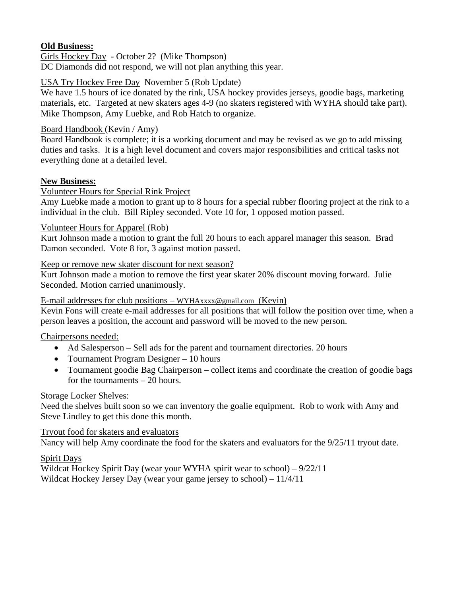### **Old Business:**

Girls Hockey Day - October 2? (Mike Thompson) DC Diamonds did not respond, we will not plan anything this year.

## USA Try Hockey Free Day November 5 (Rob Update)

We have 1.5 hours of ice donated by the rink, USA hockey provides jerseys, goodie bags, marketing materials, etc. Targeted at new skaters ages 4-9 (no skaters registered with WYHA should take part). Mike Thompson, Amy Luebke, and Rob Hatch to organize.

### Board Handbook (Kevin / Amy)

Board Handbook is complete; it is a working document and may be revised as we go to add missing duties and tasks. It is a high level document and covers major responsibilities and critical tasks not everything done at a detailed level.

### **New Business:**

## Volunteer Hours for Special Rink Project

Amy Luebke made a motion to grant up to 8 hours for a special rubber flooring project at the rink to a individual in the club. Bill Ripley seconded. Vote 10 for, 1 opposed motion passed.

### Volunteer Hours for Apparel (Rob)

Kurt Johnson made a motion to grant the full 20 hours to each apparel manager this season. Brad Damon seconded. Vote 8 for, 3 against motion passed.

### Keep or remove new skater discount for next season?

Kurt Johnson made a motion to remove the first year skater 20% discount moving forward. Julie Seconded. Motion carried unanimously.

### E-mail addresses for club positions – WYHAxxxx@gmail.com (Kevin)

Kevin Fons will create e-mail addresses for all positions that will follow the position over time, when a person leaves a position, the account and password will be moved to the new person.

### Chairpersons needed:

- Ad Salesperson Sell ads for the parent and tournament directories. 20 hours
- Tournament Program Designer 10 hours
- Tournament goodie Bag Chairperson collect items and coordinate the creation of goodie bags for the tournaments – 20 hours.

### Storage Locker Shelves:

Need the shelves built soon so we can inventory the goalie equipment. Rob to work with Amy and Steve Lindley to get this done this month.

### Tryout food for skaters and evaluators

Nancy will help Amy coordinate the food for the skaters and evaluators for the 9/25/11 tryout date.

### Spirit Days

Wildcat Hockey Spirit Day (wear your WYHA spirit wear to school) – 9/22/11 Wildcat Hockey Jersey Day (wear your game jersey to school) – 11/4/11